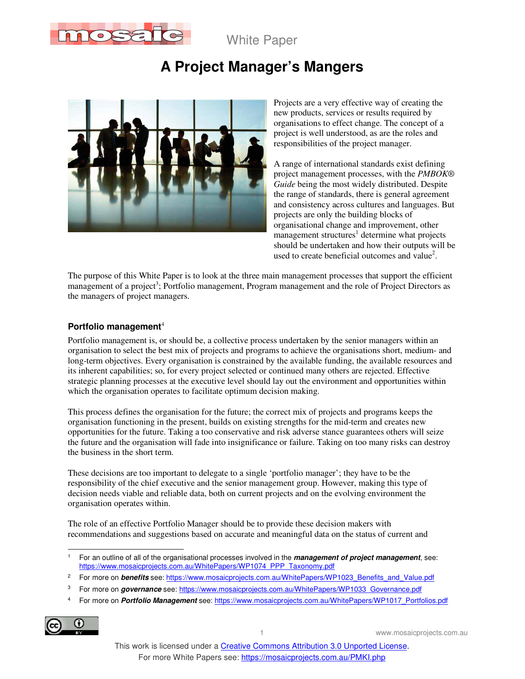

White Paper

# **A Project Manager's Mangers**



Projects are a very effective way of creating the new products, services or results required by organisations to effect change. The concept of a project is well understood, as are the roles and responsibilities of the project manager.

A range of international standards exist defining project management processes, with the *PMBOK® Guide* being the most widely distributed. Despite the range of standards, there is general agreement and consistency across cultures and languages. But projects are only the building blocks of organisational change and improvement, other management structures<sup>1</sup> determine what projects should be undertaken and how their outputs will be used to create beneficial outcomes and value<sup>2</sup>.

The purpose of this White Paper is to look at the three main management processes that support the efficient management of a project<sup>3</sup>; Portfolio management, Program management and the role of Project Directors as the managers of project managers.

#### **Portfolio management**<sup>4</sup>

Portfolio management is, or should be, a collective process undertaken by the senior managers within an organisation to select the best mix of projects and programs to achieve the organisations short, medium- and long-term objectives. Every organisation is constrained by the available funding, the available resources and its inherent capabilities; so, for every project selected or continued many others are rejected. Effective strategic planning processes at the executive level should lay out the environment and opportunities within which the organisation operates to facilitate optimum decision making.

This process defines the organisation for the future; the correct mix of projects and programs keeps the organisation functioning in the present, builds on existing strengths for the mid-term and creates new opportunities for the future. Taking a too conservative and risk adverse stance guarantees others will seize the future and the organisation will fade into insignificance or failure. Taking on too many risks can destroy the business in the short term.

These decisions are too important to delegate to a single 'portfolio manager'; they have to be the responsibility of the chief executive and the senior management group. However, making this type of decision needs viable and reliable data, both on current projects and on the evolving environment the organisation operates within.

The role of an effective Portfolio Manager should be to provide these decision makers with recommendations and suggestions based on accurate and meaningful data on the status of current and

<sup>4</sup> For more on **Portfolio Management** see: https://www.mosaicprojects.com.au/WhitePapers/WP1017\_Portfolios.pdf



1 www.mosaicprojects.com.au

 $\overline{a}$ 1 For an outline of all of the organisational processes involved in the **management of project management**, see: https://www.mosaicprojects.com.au/WhitePapers/WP1074\_PPP\_Taxonomy.pdf

<sup>2</sup> For more on **benefits** see: https://www.mosaicprojects.com.au/WhitePapers/WP1023\_Benefits\_and\_Value.pdf

<sup>3</sup> For more on *governance* see: https://www.mosaicprojects.com.au/WhitePapers/WP1033\_Governance.pdf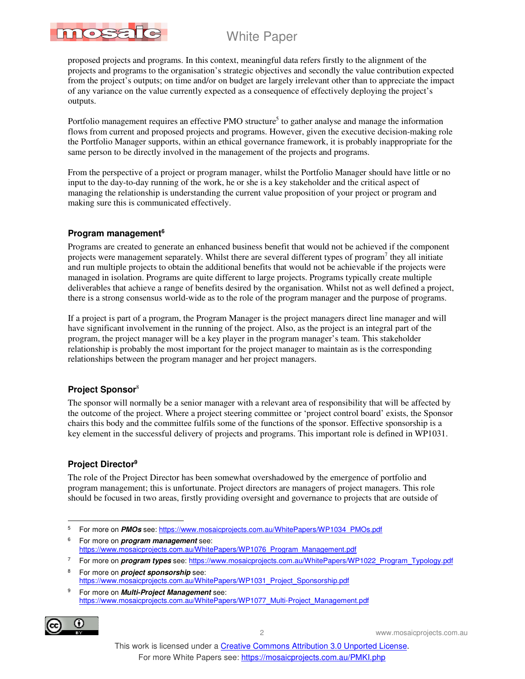# White Paper



proposed projects and programs. In this context, meaningful data refers firstly to the alignment of the projects and programs to the organisation's strategic objectives and secondly the value contribution expected from the project's outputs; on time and/or on budget are largely irrelevant other than to appreciate the impact of any variance on the value currently expected as a consequence of effectively deploying the project's outputs.

Portfolio management requires an effective PMO structure<sup>5</sup> to gather analyse and manage the information flows from current and proposed projects and programs. However, given the executive decision-making role the Portfolio Manager supports, within an ethical governance framework, it is probably inappropriate for the same person to be directly involved in the management of the projects and programs.

From the perspective of a project or program manager, whilst the Portfolio Manager should have little or no input to the day-to-day running of the work, he or she is a key stakeholder and the critical aspect of managing the relationship is understanding the current value proposition of your project or program and making sure this is communicated effectively.

### **Program management<sup>6</sup>**

Programs are created to generate an enhanced business benefit that would not be achieved if the component projects were management separately. Whilst there are several different types of program<sup>7</sup> they all initiate and run multiple projects to obtain the additional benefits that would not be achievable if the projects were managed in isolation. Programs are quite different to large projects. Programs typically create multiple deliverables that achieve a range of benefits desired by the organisation. Whilst not as well defined a project, there is a strong consensus world-wide as to the role of the program manager and the purpose of programs.

If a project is part of a program, the Program Manager is the project managers direct line manager and will have significant involvement in the running of the project. Also, as the project is an integral part of the program, the project manager will be a key player in the program manager's team. This stakeholder relationship is probably the most important for the project manager to maintain as is the corresponding relationships between the program manager and her project managers.

### **Project Sponsor**<sup>8</sup>

The sponsor will normally be a senior manager with a relevant area of responsibility that will be affected by the outcome of the project. Where a project steering committee or 'project control board' exists, the Sponsor chairs this body and the committee fulfils some of the functions of the sponsor. Effective sponsorship is a key element in the successful delivery of projects and programs. This important role is defined in WP1031.

### **Project Director<sup>9</sup>**

The role of the Project Director has been somewhat overshadowed by the emergence of portfolio and program management; this is unfortunate. Project directors are managers of project managers. This role should be focused in two areas, firstly providing oversight and governance to projects that are outside of

<sup>9</sup> For more on **Multi-Project Management** see: https://www.mosaicprojects.com.au/WhitePapers/WP1077\_Multi-Project\_Management.pdf



2 www.mosaicprojects.com.au

<sup>-&</sup>lt;br>5 For more on **PMOs** see: https://www.mosaicprojects.com.au/WhitePapers/WP1034\_PMOs.pdf

<sup>6</sup> For more on **program management** see: https://www.mosaicprojects.com.au/WhitePapers/WP1076\_Program\_Management.pdf

<sup>7</sup> For more on **program types** see: https://www.mosaicprojects.com.au/WhitePapers/WP1022\_Program\_Typology.pdf

<sup>8</sup> For more on **project sponsorship** see: https://www.mosaicprojects.com.au/WhitePapers/WP1031\_Project\_Sponsorship.pdf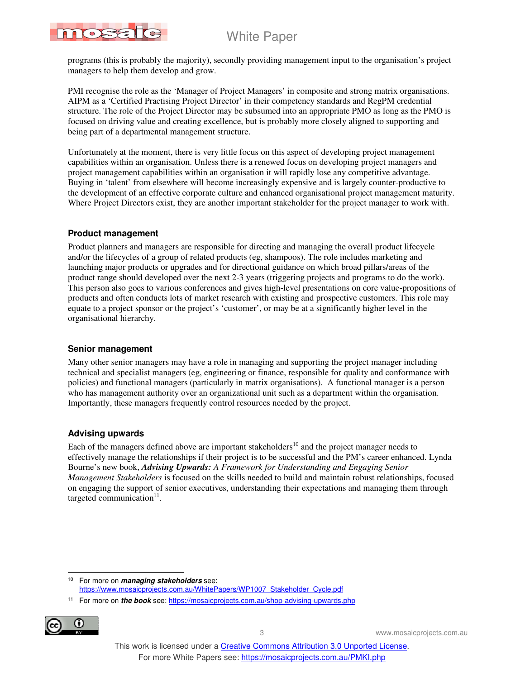# White Paper



programs (this is probably the majority), secondly providing management input to the organisation's project managers to help them develop and grow.

PMI recognise the role as the 'Manager of Project Managers' in composite and strong matrix organisations. AIPM as a 'Certified Practising Project Director' in their competency standards and RegPM credential structure. The role of the Project Director may be subsumed into an appropriate PMO as long as the PMO is focused on driving value and creating excellence, but is probably more closely aligned to supporting and being part of a departmental management structure.

Unfortunately at the moment, there is very little focus on this aspect of developing project management capabilities within an organisation. Unless there is a renewed focus on developing project managers and project management capabilities within an organisation it will rapidly lose any competitive advantage. Buying in 'talent' from elsewhere will become increasingly expensive and is largely counter-productive to the development of an effective corporate culture and enhanced organisational project management maturity. Where Project Directors exist, they are another important stakeholder for the project manager to work with.

### **Product management**

Product planners and managers are responsible for directing and managing the overall product lifecycle and/or the lifecycles of a group of related products (eg, shampoos). The role includes marketing and launching major products or upgrades and for directional guidance on which broad pillars/areas of the product range should developed over the next 2-3 years (triggering projects and programs to do the work). This person also goes to various conferences and gives high-level presentations on core value-propositions of products and often conducts lots of market research with existing and prospective customers. This role may equate to a project sponsor or the project's 'customer', or may be at a significantly higher level in the organisational hierarchy.

### **Senior management**

Many other senior managers may have a role in managing and supporting the project manager including technical and specialist managers (eg, engineering or finance, responsible for quality and conformance with policies) and functional managers (particularly in matrix organisations). A functional manager is a person who has management authority over an organizational unit such as a department within the organisation. Importantly, these managers frequently control resources needed by the project.

### **Advising upwards**

Each of the managers defined above are important stakeholders<sup>10</sup> and the project manager needs to effectively manage the relationships if their project is to be successful and the PM's career enhanced. Lynda Bourne's new book, *Advising Upwards: A Framework for Understanding and Engaging Senior Management Stakeholders* is focused on the skills needed to build and maintain robust relationships, focused on engaging the support of senior executives, understanding their expectations and managing them through targeted communication $11$ .

<sup>11</sup> For more on **the book** see: https://mosaicprojects.com.au/shop-advising-upwards.php



 $\overline{a}$ <sup>10</sup> For more on **managing stakeholders** see: https://www.mosaicprojects.com.au/WhitePapers/WP1007\_Stakeholder\_Cycle.pdf